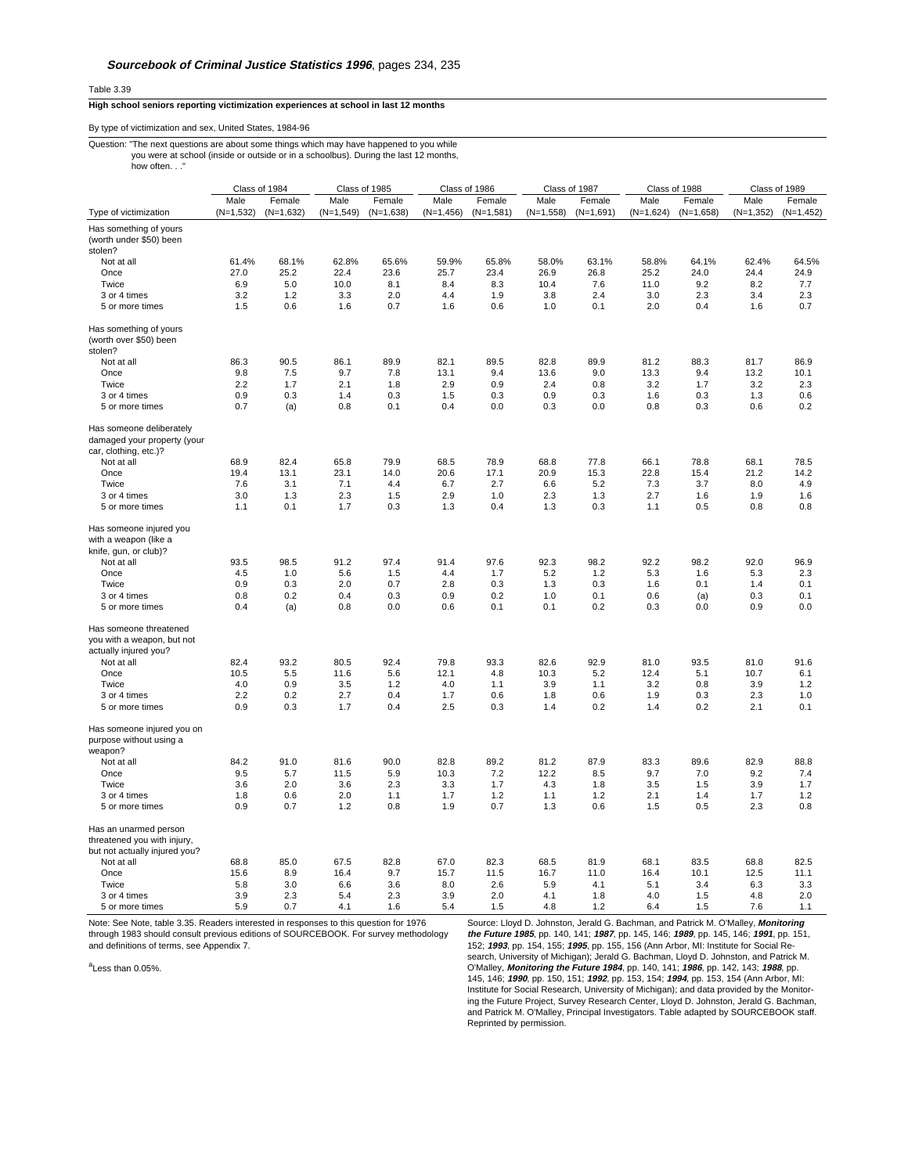Table 3.39

## **High school seniors reporting victimization experiences at school in last 12 months**

## By type of victimization and sex, United States, 1984-96

## Question: "The next questions are about some things which may have happened to you while you were at school (inside or outside or in a schoolbus). During the last 12 months, how often..."

|                                                                                                                          | Class of 1984             |                           | Class of 1985             |                           | Class of 1986             |                           | Class of 1987             |                           | Class of 1988             |                           | Class of 1989             |                           |
|--------------------------------------------------------------------------------------------------------------------------|---------------------------|---------------------------|---------------------------|---------------------------|---------------------------|---------------------------|---------------------------|---------------------------|---------------------------|---------------------------|---------------------------|---------------------------|
|                                                                                                                          | Male                      | Female                    | Male                      | Female                    | Male                      | Female                    | Male                      | Female                    | Male                      | Female                    | Male                      | Female                    |
| Type of victimization                                                                                                    | $(N=1,532)$               | $(N=1,632)$               | $(N=1,549)$               | $(N=1,638)$               | $(N=1,456)$               | $(N=1,581)$               | $(N=1,558)$               | $(N=1,691)$               | $(N=1,624)$               | $(N=1,658)$               | $(N=1,352)$               | $(N=1, 452)$              |
| Has something of yours<br>(worth under \$50) been                                                                        |                           |                           |                           |                           |                           |                           |                           |                           |                           |                           |                           |                           |
| stolen?                                                                                                                  |                           |                           |                           |                           |                           |                           |                           |                           |                           |                           |                           |                           |
| Not at all                                                                                                               | 61.4%                     | 68.1%                     | 62.8%                     | 65.6%                     | 59.9%                     | 65.8%                     | 58.0%                     | 63.1%                     | 58.8%                     | 64.1%                     | 62.4%                     | 64.5%                     |
| Once                                                                                                                     | 27.0                      | 25.2                      | 22.4                      | 23.6                      | 25.7                      | 23.4                      | 26.9                      | 26.8                      | 25.2                      | 24.0                      | 24.4                      | 24.9                      |
| Twice                                                                                                                    | 6.9                       | 5.0                       | 10.0                      | 8.1                       | 8.4                       | 8.3                       | 10.4                      | 7.6                       | 11.0                      | 9.2                       | 8.2                       | 7.7                       |
| 3 or 4 times                                                                                                             | 3.2                       | 1.2                       | 3.3                       | 2.0                       | 4.4                       | 1.9                       | 3.8                       | 2.4                       | 3.0                       | 2.3                       | 3.4                       | 2.3                       |
| 5 or more times                                                                                                          | 1.5                       | 0.6                       | 1.6                       | 0.7                       | 1.6                       | 0.6                       | 1.0                       | 0.1                       | 2.0                       | 0.4                       | 1.6                       | 0.7                       |
| Has something of yours<br>(worth over \$50) been<br>stolen?                                                              |                           |                           |                           |                           |                           |                           |                           |                           |                           |                           |                           |                           |
| Not at all                                                                                                               | 86.3                      | 90.5                      | 86.1                      | 89.9                      | 82.1                      | 89.5                      | 82.8                      | 89.9                      | 81.2                      | 88.3                      | 81.7                      | 86.9                      |
| Once                                                                                                                     | 9.8                       | 7.5                       | 9.7                       | 7.8                       | 13.1                      | 9.4                       | 13.6                      | 9.0                       | 13.3                      | 9.4                       | 13.2                      | 10.1                      |
| Twice                                                                                                                    | 2.2                       | 1.7                       | 2.1                       | 1.8                       | 2.9                       | 0.9                       | 2.4                       | 0.8                       | 3.2                       | 1.7                       | 3.2                       | 2.3                       |
| 3 or 4 times                                                                                                             | 0.9                       | 0.3                       | 1.4                       | 0.3                       | 1.5                       | 0.3                       | 0.9                       | 0.3                       | 1.6                       | 0.3                       | 1.3                       | 0.6                       |
| 5 or more times                                                                                                          | 0.7                       | (a)                       | 0.8                       | 0.1                       | 0.4                       | 0.0                       | 0.3                       | 0.0                       | 0.8                       | 0.3                       | 0.6                       | 0.2                       |
| Has someone deliberately<br>damaged your property (your<br>car, clothing, etc.)?                                         |                           |                           |                           |                           |                           |                           |                           |                           |                           |                           |                           |                           |
| Not at all                                                                                                               | 68.9                      | 82.4                      | 65.8                      | 79.9                      | 68.5                      | 78.9                      | 68.8                      | 77.8                      | 66.1                      | 78.8                      | 68.1                      | 78.5                      |
| Once                                                                                                                     | 19.4                      | 13.1                      | 23.1                      | 14.0                      | 20.6                      | 17.1                      | 20.9                      | 15.3                      | 22.8                      | 15.4                      | 21.2                      | 14.2                      |
| Twice                                                                                                                    | $7.6\,$                   | 3.1                       | 7.1                       | 4.4                       | 6.7                       | 2.7                       | 6.6                       | 5.2                       | 7.3                       | 3.7                       | 8.0                       | 4.9                       |
| 3 or 4 times                                                                                                             | 3.0                       | 1.3                       | 2.3                       | 1.5                       | 2.9                       | 1.0                       | 2.3                       | 1.3                       | 2.7                       | 1.6                       | 1.9                       | 1.6                       |
| 5 or more times                                                                                                          | 1.1                       | 0.1                       | 1.7                       | 0.3                       | 1.3                       | 0.4                       | 1.3                       | 0.3                       | 1.1                       | 0.5                       | 0.8                       | 0.8                       |
| Has someone injured you<br>with a weapon (like a<br>knife, gun, or club)?<br>Not at all<br>Once<br>Twice<br>3 or 4 times | 93.5<br>4.5<br>0.9<br>0.8 | 98.5<br>1.0<br>0.3<br>0.2 | 91.2<br>5.6<br>2.0<br>0.4 | 97.4<br>1.5<br>0.7<br>0.3 | 91.4<br>4.4<br>2.8<br>0.9 | 97.6<br>1.7<br>0.3<br>0.2 | 92.3<br>5.2<br>1.3<br>1.0 | 98.2<br>1.2<br>0.3<br>0.1 | 92.2<br>5.3<br>1.6<br>0.6 | 98.2<br>1.6<br>0.1<br>(a) | 92.0<br>5.3<br>1.4<br>0.3 | 96.9<br>2.3<br>0.1<br>0.1 |
| 5 or more times                                                                                                          | 0.4                       | (a)                       | 0.8                       | 0.0                       | 0.6                       | 0.1                       | 0.1                       | 0.2                       | 0.3                       | 0.0                       | 0.9                       | 0.0                       |
| Has someone threatened<br>you with a weapon, but not<br>actually injured you?                                            |                           |                           |                           |                           |                           |                           |                           |                           |                           |                           |                           |                           |
| Not at all                                                                                                               | 82.4                      | 93.2                      | 80.5                      | 92.4                      | 79.8                      | 93.3                      | 82.6                      | 92.9                      | 81.0                      | 93.5                      | 81.0                      | 91.6                      |
| Once                                                                                                                     | 10.5                      | 5.5                       | 11.6                      | 5.6                       | 12.1                      | 4.8                       | 10.3                      | 5.2                       | 12.4                      | 5.1                       | 10.7                      | 6.1                       |
| Twice                                                                                                                    | 4.0                       | 0.9                       | 3.5                       | 1.2                       | 4.0                       | 1.1                       | 3.9                       | 1.1                       | 3.2                       | 0.8                       | 3.9                       | 1.2                       |
| 3 or 4 times                                                                                                             | 2.2<br>0.9                | 0.2<br>0.3                | 2.7<br>1.7                | 0.4<br>0.4                | 1.7<br>2.5                | 0.6<br>0.3                | 1.8<br>1.4                | 0.6<br>0.2                | 1.9<br>1.4                | 0.3<br>0.2                | 2.3<br>2.1                | 1.0<br>0.1                |
| 5 or more times<br>Has someone injured you on<br>purpose without using a                                                 |                           |                           |                           |                           |                           |                           |                           |                           |                           |                           |                           |                           |
| weapon?                                                                                                                  |                           |                           |                           |                           |                           |                           |                           |                           |                           |                           |                           |                           |
| Not at all                                                                                                               | 84.2                      | 91.0                      | 81.6                      | 90.0                      | 82.8                      | 89.2                      | 81.2                      | 87.9                      | 83.3                      | 89.6                      | 82.9                      | 88.8                      |
| Once                                                                                                                     | 9.5                       | 5.7                       | 11.5                      | 5.9                       | 10.3                      | 7.2                       | 12.2                      | 8.5                       | 9.7                       | 7.0                       | 9.2                       | 7.4                       |
| Twice                                                                                                                    | 3.6                       | 2.0                       | 3.6                       | 2.3                       | 3.3                       | 1.7                       | 4.3                       | 1.8                       | 3.5                       | 1.5                       | 3.9                       | 1.7                       |
| 3 or 4 times                                                                                                             | 1.8                       | 0.6                       | 2.0                       | 1.1                       | 1.7                       | 1.2                       | 1.1                       | 1.2                       | 2.1                       | 1.4                       | 1.7                       | 1.2                       |
| 5 or more times                                                                                                          | 0.9                       | 0.7                       | 1.2                       | 0.8                       | 1.9                       | 0.7                       | 1.3                       | 0.6                       | 1.5                       | 0.5                       | 2.3                       | 0.8                       |
| Has an unarmed person<br>threatened you with injury,<br>but not actually injured you?                                    |                           |                           |                           |                           |                           |                           |                           |                           |                           |                           |                           |                           |
| Not at all                                                                                                               | 68.8                      | 85.0                      | 67.5                      | 82.8                      | 67.0                      | 82.3                      | 68.5                      | 81.9                      | 68.1                      | 83.5                      | 68.8                      | 82.5                      |
| Once                                                                                                                     | 15.6                      | 8.9                       | 16.4                      | 9.7                       | 15.7                      | 11.5                      | 16.7                      | 11.0                      | 16.4                      | 10.1                      | 12.5                      | 11.1                      |
| Twice                                                                                                                    | 5.8                       | 3.0                       | 6.6                       | 3.6                       | 8.0                       | 2.6                       | 5.9                       | 4.1                       | 5.1                       | 3.4                       | 6.3                       | 3.3                       |
| 3 or 4 times                                                                                                             | 3.9                       | 2.3                       | 5.4                       | 2.3                       | 3.9                       | 2.0                       | 4.1                       | 1.8                       | 4.0                       | 1.5                       | 4.8                       | 2.0                       |
| 5 or more times                                                                                                          | 5.9                       | 0.7                       | 4.1                       | 1.6                       | 5.4                       | 1.5                       | 4.8                       | 1.2                       | 6.4                       | 1.5                       | 7.6                       | 1.1                       |

Note: See Note, table 3.35. Readers interested in responses to this question for 1976 through 1983 should consult previous editions of SOURCEBOOK. For survey methodology and definitions of terms, see Appendix 7.

<sup>a</sup>Less than 0.05%.

Source: Lloyd D. Johnston, Jerald G. Bachman, and Patrick M. O'Malley, **Monitoring** the Future 1985, pp. 140, 141; 1987, pp. 145, 146; 1989, pp. 145, 146; 1991, pp. 151,<br>152; 1993, pp. 154, 155; 1995, pp. 155, 156 (Ann Arbor, MI: Institute for Social Re-<br>search, University of Michigan); Jerald G. Bachman, 145, 146; **1990**, pp. 150, 151; **1992**, pp. 153, 154; **1994**, pp. 153, 154 (Ann Arbor, MI: Institute for Social Research, University of Michigan); and data provided by the Monitoring the Future Project, Survey Research Center, Lloyd D. Johnston, Jerald G. Bachman, and Patrick M. O'Malley, Principal Investigators. Table adapted by SOURCEBOOK staff. Reprinted by permission.